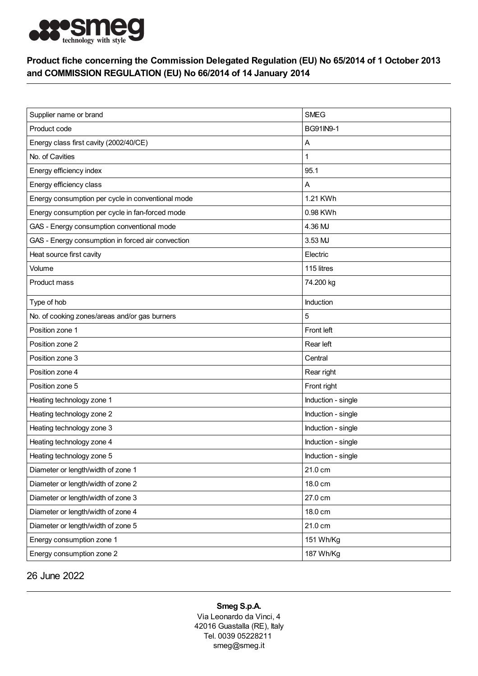

## Product fiche concerning the Commission Delegated Regulation (EU) No 65/2014 of 1 October 2013 and COMMISSION REGULATION (EU) No 66/2014 of 14 January 2014

| Supplier name or brand                            | <b>SMEG</b>        |
|---------------------------------------------------|--------------------|
| Product code                                      | BG91IN9-1          |
| Energy class first cavity (2002/40/CE)            | Α                  |
| No. of Cavities                                   | 1                  |
| Energy efficiency index                           | 95.1               |
| Energy efficiency class                           | Α                  |
| Energy consumption per cycle in conventional mode | 1.21 KWh           |
| Energy consumption per cycle in fan-forced mode   | 0.98 KWh           |
| GAS - Energy consumption conventional mode        | 4.36 MJ            |
| GAS - Energy consumption in forced air convection | 3.53 MJ            |
| Heat source first cavity                          | Electric           |
| Volume                                            | 115 litres         |
| Product mass                                      | 74.200 kg          |
| Type of hob                                       | Induction          |
| No. of cooking zones/areas and/or gas burners     | 5                  |
| Position zone 1                                   | Front left         |
| Position zone 2                                   | Rear left          |
| Position zone 3                                   | Central            |
| Position zone 4                                   | Rear right         |
| Position zone 5                                   | Front right        |
| Heating technology zone 1                         | Induction - single |
| Heating technology zone 2                         | Induction - single |
| Heating technology zone 3                         | Induction - single |
| Heating technology zone 4                         | Induction - single |
| Heating technology zone 5                         | Induction - single |
| Diameter or length/width of zone 1                | 21.0 cm            |
| Diameter or length/width of zone 2                | 18.0 cm            |
| Diameter or length/width of zone 3                | 27.0 cm            |
| Diameter or length/width of zone 4                | 18.0 cm            |
| Diameter or length/width of zone 5                | 21.0 cm            |
| Energy consumption zone 1                         | 151 Wh/Kg          |
| Energy consumption zone 2                         | 187 Wh/Kg          |

26 June 2022

## Smeg S.p.A.

Via Leonardo da Vinci, 4 42016 Guastalla (RE), Italy Tel. 0039 05228211 smeg@smeg.it